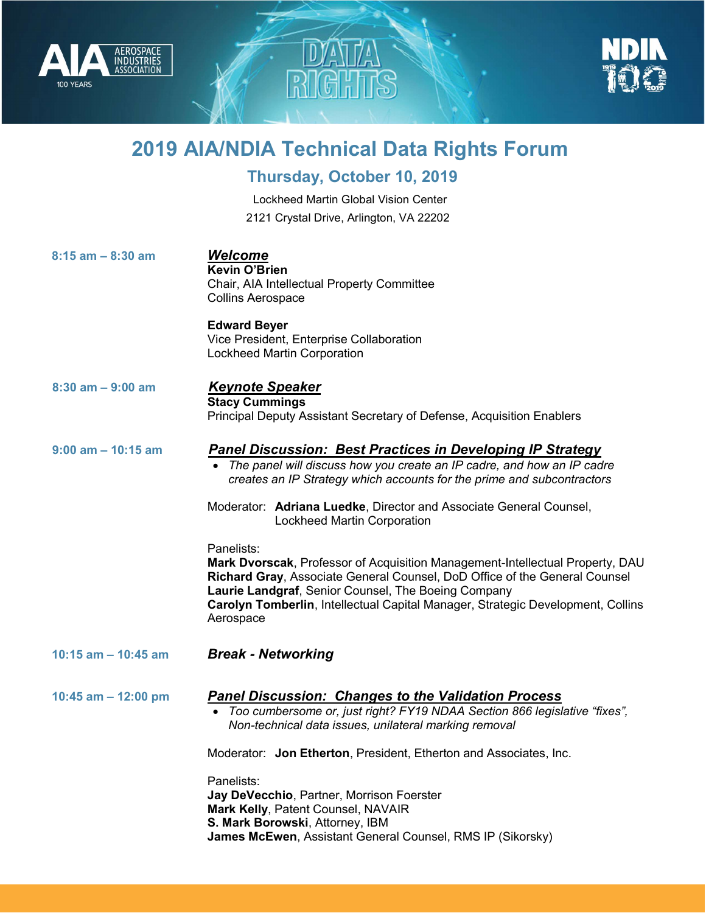



## 2019 AIA/NDIA Technical Data Rights Forum

a<br>P

## Thursday, October 10, 2019

Lockheed Martin Global Vision Center 2121 Crystal Drive, Arlington, VA 22202

| $8:15$ am $-8:30$ am   | <b>Welcome</b><br><b>Kevin O'Brien</b><br>Chair, AIA Intellectual Property Committee<br><b>Collins Aerospace</b>                                                                                                                                                                                                                 |
|------------------------|----------------------------------------------------------------------------------------------------------------------------------------------------------------------------------------------------------------------------------------------------------------------------------------------------------------------------------|
|                        | <b>Edward Beyer</b><br>Vice President, Enterprise Collaboration<br><b>Lockheed Martin Corporation</b>                                                                                                                                                                                                                            |
| $8:30$ am $-9:00$ am   | <b>Keynote Speaker</b><br><b>Stacy Cummings</b><br>Principal Deputy Assistant Secretary of Defense, Acquisition Enablers                                                                                                                                                                                                         |
| $9:00$ am $- 10:15$ am | <b>Panel Discussion: Best Practices in Developing IP Strategy</b><br>The panel will discuss how you create an IP cadre, and how an IP cadre<br>creates an IP Strategy which accounts for the prime and subcontractors                                                                                                            |
|                        | Moderator: Adriana Luedke, Director and Associate General Counsel,<br><b>Lockheed Martin Corporation</b>                                                                                                                                                                                                                         |
|                        | Panelists:<br>Mark Dvorscak, Professor of Acquisition Management-Intellectual Property, DAU<br>Richard Gray, Associate General Counsel, DoD Office of the General Counsel<br>Laurie Landgraf, Senior Counsel, The Boeing Company<br>Carolyn Tomberlin, Intellectual Capital Manager, Strategic Development, Collins<br>Aerospace |
| 10:15 am $-$ 10:45 am  | <b>Break - Networking</b>                                                                                                                                                                                                                                                                                                        |
| 10:45 am $-$ 12:00 pm  | <b>Panel Discussion: Changes to the Validation Process</b><br>• Too cumbersome or, just right? FY19 NDAA Section 866 legislative "fixes",<br>Non-technical data issues, unilateral marking removal                                                                                                                               |
|                        | Moderator: Jon Etherton, President, Etherton and Associates, Inc.                                                                                                                                                                                                                                                                |
|                        | Panelists:<br>Jay DeVecchio, Partner, Morrison Foerster<br>Mark Kelly, Patent Counsel, NAVAIR<br>S. Mark Borowski, Attorney, IBM<br>James McEwen, Assistant General Counsel, RMS IP (Sikorsky)                                                                                                                                   |